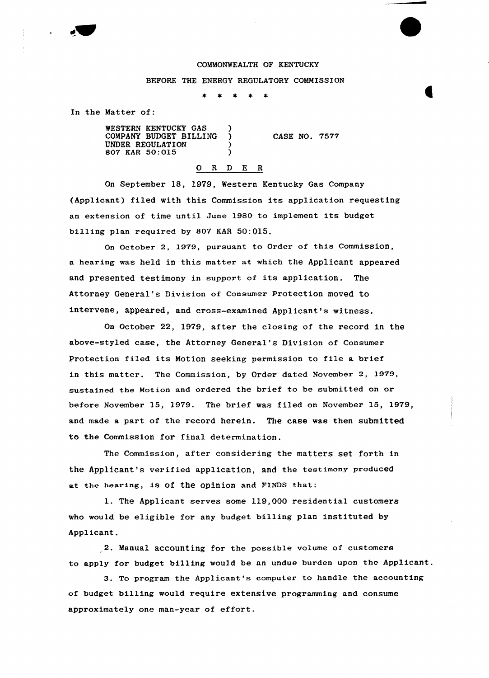## COMMONWEALTH OF KENTUCKY

## BEFORE THE ENERGY REGULATORY COMMISSION

In the Matter of:

WESTERN KENTUCKY GAS (3) COMPANY BUDGET BILLING ) UNDER REGULATION (307 KAR 50:015) 807 KAR 50:015 )

CASE NO. 7577

## O R D E R

On September 18, 1979, Western Kentucky Gas Company (Applicant) filed with this Commission its application requesting an extension of time until June 1980 to implement its budget billing plan required by 807 KAR 50:015.

On October 2, 1979, pursuant to Order of this Commission, a hearing was held in this matter at which the Applicant appeared and presented testimony in support of its application. The Attorney General's Division of Consumer Protection moved tp intervene, appeared, and cross-examined Applicant's witness.

On October 22, 1979, after the closing of the record in the above-styled case, the Attorney General's Division of Consumer Protection filed its Motion seeking permission to file a brief in this matter. The Commission, by Order dated November 2, 1979, sustained the Motion and ordered the brief to be submitted on or before November 15, 1979. The brief was filed on November 15, 1979, and made a part of the record herein. The case was then submitted to the Commission for final determination.

The Commission, after considering the matters set forth in the Applicant's verified application, and the teetimony produced at the hearing, is of the opinion and FINDS that:

1. The Applicant serves some 119,000 residential customers who would be eligible for any budget billing plan instituted by Applicant.

2. Manual accounting for the possible volume of. customers to apply for budget billing would be an undue burden upon the Applicant.

3. To program the Applicant's computer to handle the accounting of budget billing would require extensive programming and consume approximately one man-year of effort.